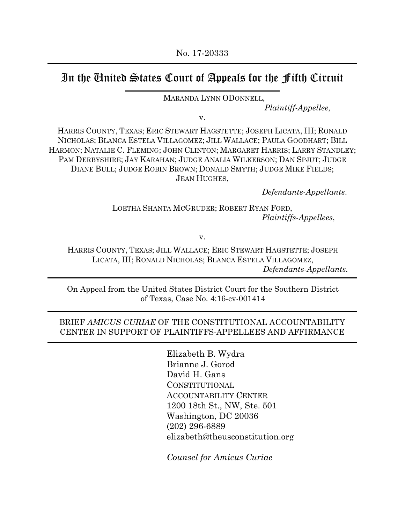# In the United States Court of Appeals for the Fifth Circuit

MARANDA LYNN ODONNELL,

Plaintiff-Appellee,

v.

HARRIS COUNTY, TEXAS; ERIC STEWART HAGSTETTE; JOSEPH LICATA, III; RONALD NICHOLAS; BLANCA ESTELA VILLAGOMEZ; JILL WALLACE; PAULA GOODHART; BILL HARMON; NATALIE C. FLEMING; JOHN CLINTON; MARGARET HARRIS; LARRY STANDLEY; PAM DERBYSHIRE; JAY KARAHAN; JUDGE ANALIA WILKERSON; DAN SPJUT; JUDGE DIANE BULL; JUDGE ROBIN BROWN; DONALD SMYTH; JUDGE MIKE FIELDS; JEAN HUGHES,

Defendants-Appellants.

\_\_\_\_\_\_\_\_\_\_\_\_\_\_\_\_\_\_\_\_\_\_\_\_\_\_\_\_\_\_\_\_ LOETHA SHANTA MCGRUDER; ROBERT RYAN FORD, Plaintiffs-Appellees,

v.

HARRIS COUNTY, TEXAS; JILL WALLACE; ERIC STEWART HAGSTETTE; JOSEPH LICATA, III; RONALD NICHOLAS; BLANCA ESTELA VILLAGOMEZ, Defendants-Appellants.

On Appeal from the United States District Court for the Southern District of Texas, Case No. 4:16-cv-001414

#### BRIEF AMICUS CURIAE OF THE CONSTITUTIONAL ACCOUNTABILITY CENTER IN SUPPORT OF PLAINTIFFS-APPELLEES AND AFFIRMANCE

Elizabeth B. Wydra Brianne J. Gorod David H. Gans CONSTITUTIONAL ACCOUNTABILITY CENTER 1200 18th St., NW, Ste. 501 Washington, DC 20036 (202) 296-6889 elizabeth@theusconstitution.org

Counsel for Amicus Curiae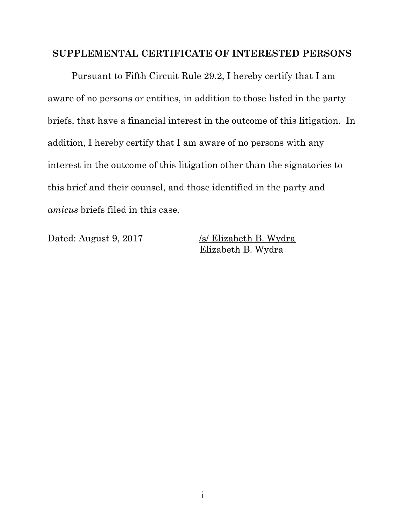#### SUPPLEMENTAL CERTIFICATE OF INTERESTED PERSONS

 Pursuant to Fifth Circuit Rule 29.2, I hereby certify that I am aware of no persons or entities, in addition to those listed in the party briefs, that have a financial interest in the outcome of this litigation. In addition, I hereby certify that I am aware of no persons with any interest in the outcome of this litigation other than the signatories to this brief and their counsel, and those identified in the party and amicus briefs filed in this case.

Dated: August 9, 2017 /s/ Elizabeth B. Wydra Elizabeth B. Wydra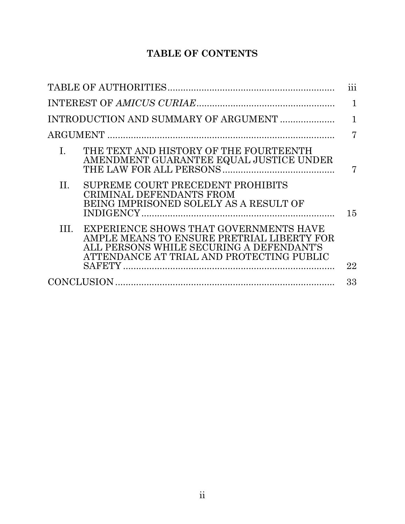# TABLE OF CONTENTS

|                                                                                                                                                                                     | 111            |
|-------------------------------------------------------------------------------------------------------------------------------------------------------------------------------------|----------------|
|                                                                                                                                                                                     | 1              |
| INTRODUCTION AND SUMMARY OF ARGUMENT                                                                                                                                                | 1              |
|                                                                                                                                                                                     | $\overline{7}$ |
| THE TEXT AND HISTORY OF THE FOURTEENTH<br>$\mathbf{L}$<br>AMENDMENT GUARANTEE EQUAL JUSTICE UNDER                                                                                   | 7              |
| SUPREME COURT PRECEDENT PROHIBITS<br>П.<br>CRIMINAL DEFENDANTS FROM<br>BEING IMPRISONED SOLELY AS A RESULT OF                                                                       | 15             |
| EXPERIENCE SHOWS THAT GOVERNMENTS HAVE<br>Ш.<br>AMPLE MEANS TO ENSURE PRETRIAL LIBERTY FOR<br>ALL PERSONS WHILE SECURING A DEFENDANT'S<br>ATTENDANCE AT TRIAL AND PROTECTING PUBLIC | 22             |
|                                                                                                                                                                                     | 33             |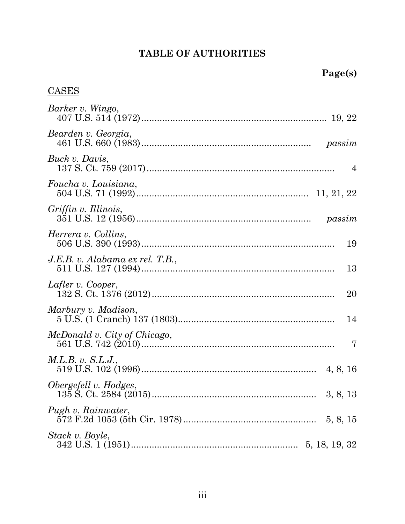# TABLE OF AUTHORITIES

# **CASES**

| Barker v. Wingo,                      |
|---------------------------------------|
| Bearden v. Georgia,                   |
| Buck v. Davis,<br>4                   |
| Foucha v. Louisiana,                  |
| Griffin v. Illinois,                  |
| Herrera v. Collins,<br>19             |
| J.E.B. v. Alabama ex rel. T.B.,<br>13 |
| Lafler v. Cooper,<br>20               |
| Marbury v. Madison,<br>14             |
| McDonald v. City of Chicago,<br>7     |
| M.L.B. v. S.L.J.,                     |
| Obergefell v. Hodges,                 |
| Pugh v. Rainwater,                    |
| Stack v. Boyle,<br>5, 18, 19, 32      |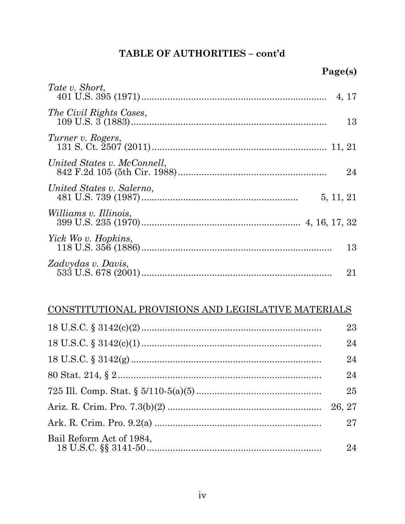## TABLE OF AUTHORITIES - cont'd

| Tate v. Short,                         | 4, 17 |
|----------------------------------------|-------|
| The Civil Rights Cases,                | 13    |
| Turner v. Rogers,                      |       |
| United States v. McConnell,            | 24    |
| United States v. Salerno,<br>5, 11, 21 |       |
| <i>Williams v. Illinois,</i>           |       |
| Yick Wo v. Hopkins,                    | 13    |
| Zadvydas v. Davis,                     | 21    |

## CONSTITUTIONAL PROVISIONS AND LEGISLATIVE MATERIALS

|                          | 23 |
|--------------------------|----|
|                          | 24 |
|                          | 24 |
|                          | 24 |
|                          | 25 |
|                          |    |
|                          | 27 |
| Bail Reform Act of 1984, | 24 |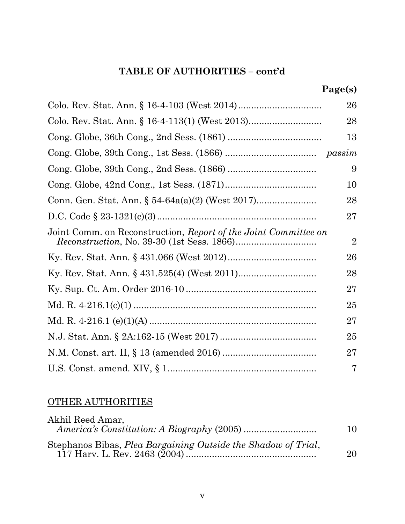## TABLE OF AUTHORITIES – cont'd

|                                                                 | 26             |
|-----------------------------------------------------------------|----------------|
| Colo. Rev. Stat. Ann. § 16-4-113(1) (West 2013)                 | 28             |
|                                                                 | 13             |
|                                                                 |                |
|                                                                 | 9              |
|                                                                 | 10             |
|                                                                 | 28             |
|                                                                 | $27\,$         |
| Joint Comm. on Reconstruction, Report of the Joint Committee on | $\overline{2}$ |
|                                                                 | 26             |
|                                                                 | 28             |
|                                                                 | 27             |
|                                                                 | 25             |
|                                                                 | 27             |
|                                                                 | 25             |
|                                                                 | 27             |
|                                                                 | 7              |

## OTHER AUTHORITIES

| Akhil Reed Amar,                                              | 10 |
|---------------------------------------------------------------|----|
| Stephanos Bibas, Plea Bargaining Outside the Shadow of Trial. | 20 |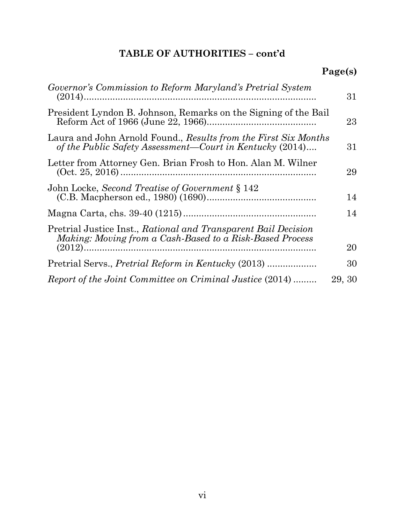# TABLE OF AUTHORITIES – cont'd

# Page(s)

| Governor's Commission to Reform Maryland's Pretrial System                                                                  | 31     |
|-----------------------------------------------------------------------------------------------------------------------------|--------|
| President Lyndon B. Johnson, Remarks on the Signing of the Bail                                                             | 23     |
| Laura and John Arnold Found., Results from the First Six Months<br>of the Public Safety Assessment—Court in Kentucky (2014) | 31     |
| Letter from Attorney Gen. Brian Frosh to Hon. Alan M. Wilner                                                                | 29     |
| John Locke, Second Treatise of Government § 142                                                                             | 14     |
|                                                                                                                             | 14     |
| Pretrial Justice Inst., Rational and Transparent Bail Decision<br>Making: Moving from a Cash-Based to a Risk-Based Process  |        |
|                                                                                                                             | 20     |
| Pretrial Servs., <i>Pretrial Reform in Kentucky</i> (2013)                                                                  | 30     |
| Report of the Joint Committee on Criminal Justice (2014)                                                                    | 29, 30 |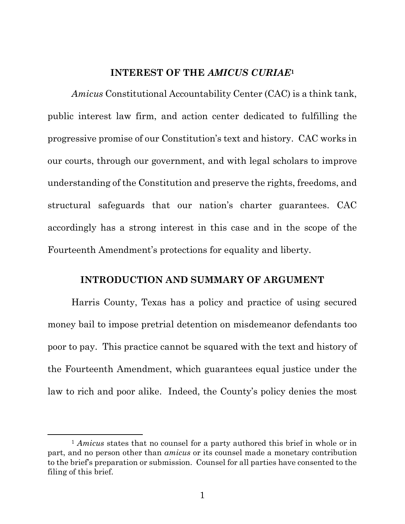#### INTEREST OF THE AMICUS CURIAE<sup>1</sup>

Amicus Constitutional Accountability Center (CAC) is a think tank, public interest law firm, and action center dedicated to fulfilling the progressive promise of our Constitution's text and history. CAC works in our courts, through our government, and with legal scholars to improve understanding of the Constitution and preserve the rights, freedoms, and structural safeguards that our nation's charter guarantees. CAC accordingly has a strong interest in this case and in the scope of the Fourteenth Amendment's protections for equality and liberty.

#### INTRODUCTION AND SUMMARY OF ARGUMENT

Harris County, Texas has a policy and practice of using secured money bail to impose pretrial detention on misdemeanor defendants too poor to pay. This practice cannot be squared with the text and history of the Fourteenth Amendment, which guarantees equal justice under the law to rich and poor alike. Indeed, the County's policy denies the most

<sup>&</sup>lt;sup>1</sup> Amicus states that no counsel for a party authored this brief in whole or in part, and no person other than amicus or its counsel made a monetary contribution to the brief's preparation or submission. Counsel for all parties have consented to the filing of this brief.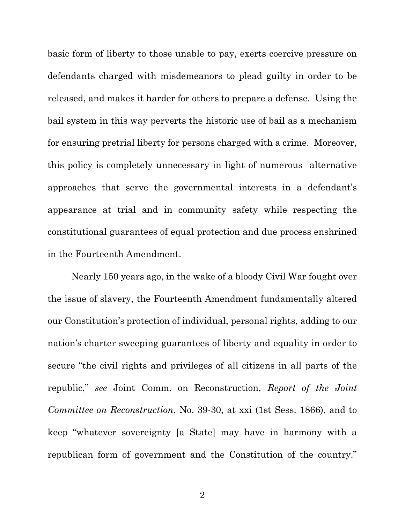basic form of liberty to those unable to pay, exerts coercive pressure on defendants charged with misdemeanors to plead guilty in order to be released, and makes it harder for others to prepare a defense. Using the bail system in this way perverts the historic use of bail as a mechanism for ensuring pretrial liberty for persons charged with a crime. Moreover, this policy is completely unnecessary in light of numerous alternative approaches that serve the governmental interests in a defendant's appearance at trial and in community safety while respecting the constitutional guarantees of equal protection and due process enshrined in the Fourteenth Amendment.

Nearly 150 years ago, in the wake of a bloody Civil War fought over the issue of slavery, the Fourteenth Amendment fundamentally altered our Constitution's protection of individual, personal rights, adding to our nation's charter sweeping guarantees of liberty and equality in order to secure "the civil rights and privileges of all citizens in all parts of the republic," see Joint Comm. on Reconstruction, Report of the Joint Committee on Reconstruction, No. 39-30, at xxi (1st Sess. 1866), and to keep "whatever sovereignty [a State] may have in harmony with a republican form of government and the Constitution of the country."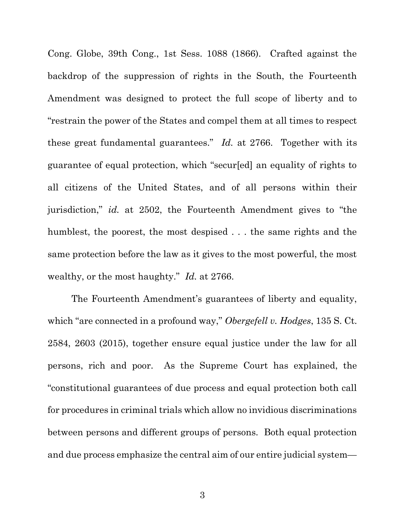Cong. Globe, 39th Cong., 1st Sess. 1088 (1866). Crafted against the backdrop of the suppression of rights in the South, the Fourteenth Amendment was designed to protect the full scope of liberty and to "restrain the power of the States and compel them at all times to respect these great fundamental guarantees." Id. at 2766. Together with its guarantee of equal protection, which "secur[ed] an equality of rights to all citizens of the United States, and of all persons within their jurisdiction," id. at 2502, the Fourteenth Amendment gives to "the humblest, the poorest, the most despised ... the same rights and the same protection before the law as it gives to the most powerful, the most wealthy, or the most haughty." Id. at 2766.

The Fourteenth Amendment's guarantees of liberty and equality, which "are connected in a profound way," Obergefell v. Hodges, 135 S. Ct. 2584, 2603 (2015), together ensure equal justice under the law for all persons, rich and poor. As the Supreme Court has explained, the "constitutional guarantees of due process and equal protection both call for procedures in criminal trials which allow no invidious discriminations between persons and different groups of persons. Both equal protection and due process emphasize the central aim of our entire judicial system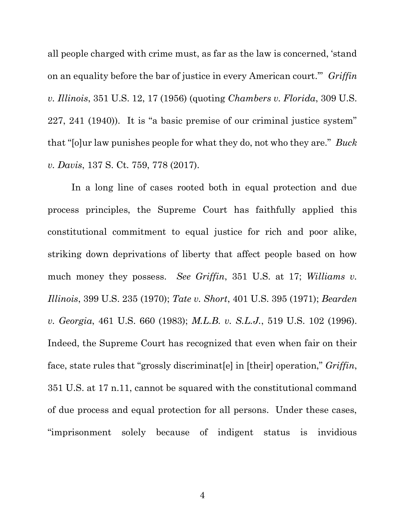all people charged with crime must, as far as the law is concerned, 'stand on an equality before the bar of justice in every American court." Griffin v. Illinois, 351 U.S. 12, 17 (1956) (quoting Chambers v. Florida, 309 U.S. 227, 241 (1940)). It is "a basic premise of our criminal justice system" that "[o]ur law punishes people for what they do, not who they are." Buck v. Davis, 137 S. Ct. 759, 778 (2017).

In a long line of cases rooted both in equal protection and due process principles, the Supreme Court has faithfully applied this constitutional commitment to equal justice for rich and poor alike, striking down deprivations of liberty that affect people based on how much money they possess. See Griffin, 351 U.S. at 17; Williams v. Illinois, 399 U.S. 235 (1970); Tate v. Short, 401 U.S. 395 (1971); Bearden v. Georgia, 461 U.S. 660 (1983); M.L.B. v. S.L.J., 519 U.S. 102 (1996). Indeed, the Supreme Court has recognized that even when fair on their face, state rules that "grossly discriminat [e] in [their] operation," Griffin, 351 U.S. at 17 n.11, cannot be squared with the constitutional command of due process and equal protection for all persons. Under these cases, "imprisonment solely because of indigent status is invidious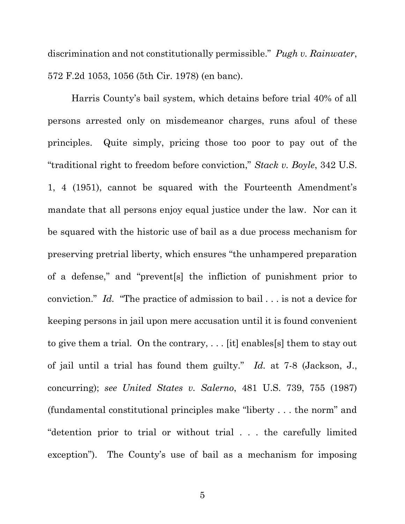discrimination and not constitutionally permissible." Pugh v. Rainwater, 572 F.2d 1053, 1056 (5th Cir. 1978) (en banc).

Harris County's bail system, which detains before trial 40% of all persons arrested only on misdemeanor charges, runs afoul of these principles. Quite simply, pricing those too poor to pay out of the "traditional right to freedom before conviction," Stack v. Boyle, 342 U.S. 1, 4 (1951), cannot be squared with the Fourteenth Amendment's mandate that all persons enjoy equal justice under the law. Nor can it be squared with the historic use of bail as a due process mechanism for preserving pretrial liberty, which ensures "the unhampered preparation of a defense," and "prevent[s] the infliction of punishment prior to conviction." Id. "The practice of admission to bail . . . is not a device for keeping persons in jail upon mere accusation until it is found convenient to give them a trial. On the contrary, . . . [it] enables[s] them to stay out of jail until a trial has found them guilty." Id. at 7-8 (Jackson, J., concurring); see United States v. Salerno, 481 U.S. 739, 755 (1987) (fundamental constitutional principles make "liberty . . . the norm" and "detention prior to trial or without trial . . . the carefully limited exception"). The County's use of bail as a mechanism for imposing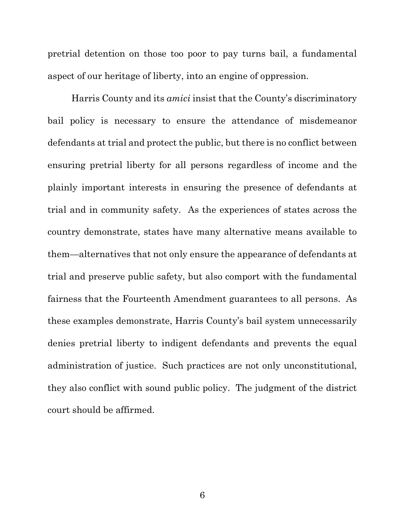pretrial detention on those too poor to pay turns bail, a fundamental aspect of our heritage of liberty, into an engine of oppression.

Harris County and its amici insist that the County's discriminatory bail policy is necessary to ensure the attendance of misdemeanor defendants at trial and protect the public, but there is no conflict between ensuring pretrial liberty for all persons regardless of income and the plainly important interests in ensuring the presence of defendants at trial and in community safety. As the experiences of states across the country demonstrate, states have many alternative means available to them—alternatives that not only ensure the appearance of defendants at trial and preserve public safety, but also comport with the fundamental fairness that the Fourteenth Amendment guarantees to all persons. As these examples demonstrate, Harris County's bail system unnecessarily denies pretrial liberty to indigent defendants and prevents the equal administration of justice. Such practices are not only unconstitutional, they also conflict with sound public policy. The judgment of the district court should be affirmed.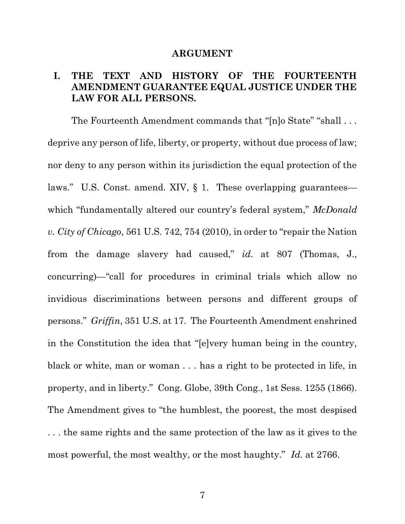#### ARGUMENT

### I. THE TEXT AND HISTORY OF THE FOURTEENTH AMENDMENT GUARANTEE EQUAL JUSTICE UNDER THE LAW FOR ALL PERSONS.

The Fourteenth Amendment commands that "[n]o State" "shall . . . deprive any person of life, liberty, or property, without due process of law; nor deny to any person within its jurisdiction the equal protection of the laws." U.S. Const. amend. XIV, § 1. These overlapping guarantees which "fundamentally altered our country's federal system," McDonald v. City of Chicago, 561 U.S. 742, 754 (2010), in order to "repair the Nation from the damage slavery had caused," id. at 807 (Thomas, J., concurring)—"call for procedures in criminal trials which allow no invidious discriminations between persons and different groups of persons." Griffin, 351 U.S. at 17. The Fourteenth Amendment enshrined in the Constitution the idea that "[e]very human being in the country, black or white, man or woman . . . has a right to be protected in life, in property, and in liberty." Cong. Globe, 39th Cong., 1st Sess. 1255 (1866). The Amendment gives to "the humblest, the poorest, the most despised . . . the same rights and the same protection of the law as it gives to the most powerful, the most wealthy, or the most haughty." Id. at 2766.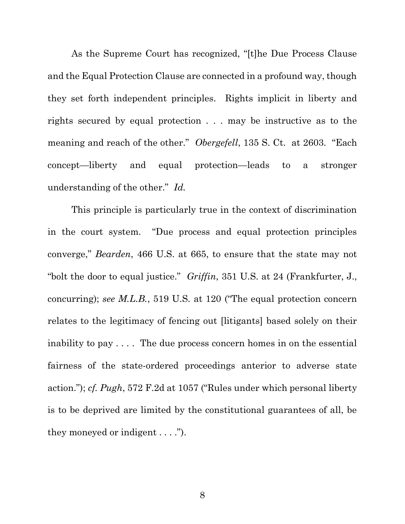As the Supreme Court has recognized, "[t]he Due Process Clause and the Equal Protection Clause are connected in a profound way, though they set forth independent principles. Rights implicit in liberty and rights secured by equal protection . . . may be instructive as to the meaning and reach of the other." *Obergefell*, 135 S. Ct. at 2603. "Each concept—liberty and equal protection—leads to a stronger understanding of the other." Id.

This principle is particularly true in the context of discrimination in the court system. "Due process and equal protection principles converge," Bearden, 466 U.S. at 665, to ensure that the state may not "bolt the door to equal justice." Griffin, 351 U.S. at 24 (Frankfurter, J., concurring); see M.L.B., 519 U.S. at 120 ("The equal protection concern relates to the legitimacy of fencing out [litigants] based solely on their inability to pay . . . . The due process concern homes in on the essential fairness of the state-ordered proceedings anterior to adverse state action."); cf. Pugh, 572 F.2d at 1057 ("Rules under which personal liberty is to be deprived are limited by the constitutional guarantees of all, be they moneyed or indigent . . . .").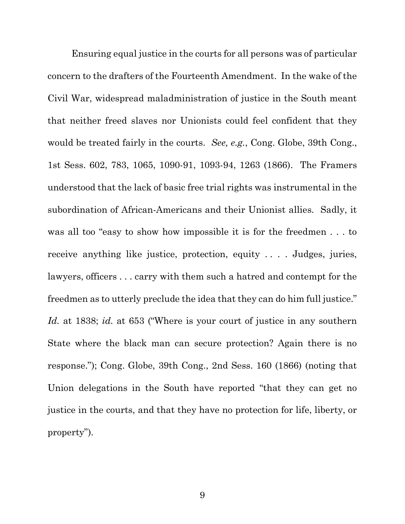Ensuring equal justice in the courts for all persons was of particular concern to the drafters of the Fourteenth Amendment. In the wake of the Civil War, widespread maladministration of justice in the South meant that neither freed slaves nor Unionists could feel confident that they would be treated fairly in the courts. See, e.g., Cong. Globe, 39th Cong., 1st Sess. 602, 783, 1065, 1090-91, 1093-94, 1263 (1866). The Framers understood that the lack of basic free trial rights was instrumental in the subordination of African-Americans and their Unionist allies. Sadly, it was all too "easy to show how impossible it is for the freedmen . . . to receive anything like justice, protection, equity . . . . Judges, juries, lawyers, officers . . . carry with them such a hatred and contempt for the freedmen as to utterly preclude the idea that they can do him full justice." Id. at 1838; id. at 653 ("Where is your court of justice in any southern State where the black man can secure protection? Again there is no response."); Cong. Globe, 39th Cong., 2nd Sess. 160 (1866) (noting that Union delegations in the South have reported "that they can get no justice in the courts, and that they have no protection for life, liberty, or property").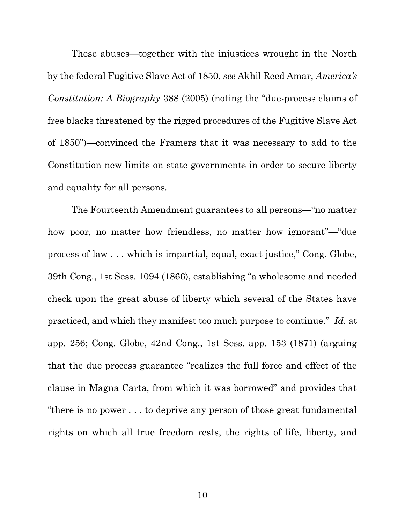These abuses—together with the injustices wrought in the North by the federal Fugitive Slave Act of 1850, see Akhil Reed Amar, America's Constitution: A Biography 388 (2005) (noting the "due-process claims of free blacks threatened by the rigged procedures of the Fugitive Slave Act of 1850")—convinced the Framers that it was necessary to add to the Constitution new limits on state governments in order to secure liberty and equality for all persons.

The Fourteenth Amendment guarantees to all persons—"no matter how poor, no matter how friendless, no matter how ignorant"—"due process of law . . . which is impartial, equal, exact justice," Cong. Globe, 39th Cong., 1st Sess. 1094 (1866), establishing "a wholesome and needed check upon the great abuse of liberty which several of the States have practiced, and which they manifest too much purpose to continue." Id. at app. 256; Cong. Globe, 42nd Cong., 1st Sess. app. 153 (1871) (arguing that the due process guarantee "realizes the full force and effect of the clause in Magna Carta, from which it was borrowed" and provides that "there is no power . . . to deprive any person of those great fundamental rights on which all true freedom rests, the rights of life, liberty, and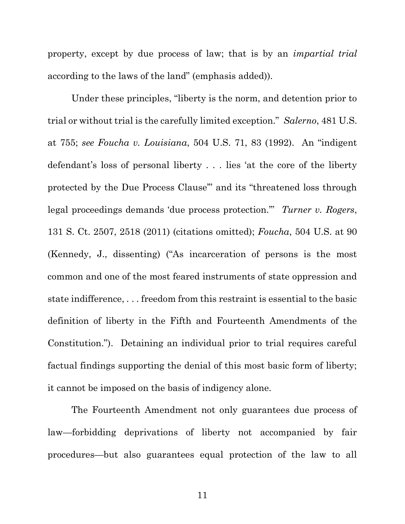property, except by due process of law; that is by an impartial trial according to the laws of the land" (emphasis added)).

Under these principles, "liberty is the norm, and detention prior to trial or without trial is the carefully limited exception." Salerno, 481 U.S. at 755; see Foucha v. Louisiana, 504 U.S. 71, 83 (1992). An "indigent defendant's loss of personal liberty . . . lies 'at the core of the liberty protected by the Due Process Clause'" and its "threatened loss through legal proceedings demands 'due process protection." Turner v. Rogers, 131 S. Ct. 2507, 2518 (2011) (citations omitted); Foucha, 504 U.S. at 90 (Kennedy, J., dissenting) ("As incarceration of persons is the most common and one of the most feared instruments of state oppression and state indifference, . . . freedom from this restraint is essential to the basic definition of liberty in the Fifth and Fourteenth Amendments of the Constitution."). Detaining an individual prior to trial requires careful factual findings supporting the denial of this most basic form of liberty; it cannot be imposed on the basis of indigency alone.

The Fourteenth Amendment not only guarantees due process of law—forbidding deprivations of liberty not accompanied by fair procedures—but also guarantees equal protection of the law to all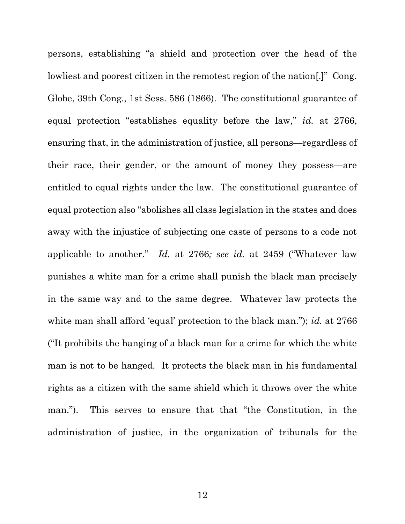persons, establishing "a shield and protection over the head of the lowliest and poorest citizen in the remotest region of the nation[.]" Cong. Globe, 39th Cong., 1st Sess. 586 (1866). The constitutional guarantee of equal protection "establishes equality before the law," id. at 2766, ensuring that, in the administration of justice, all persons—regardless of their race, their gender, or the amount of money they possess—are entitled to equal rights under the law. The constitutional guarantee of equal protection also "abolishes all class legislation in the states and does away with the injustice of subjecting one caste of persons to a code not applicable to another." Id. at 2766; see id. at 2459 ("Whatever law punishes a white man for a crime shall punish the black man precisely in the same way and to the same degree. Whatever law protects the white man shall afford 'equal' protection to the black man."); id. at 2766 ("It prohibits the hanging of a black man for a crime for which the white man is not to be hanged. It protects the black man in his fundamental rights as a citizen with the same shield which it throws over the white man."). This serves to ensure that that "the Constitution, in the administration of justice, in the organization of tribunals for the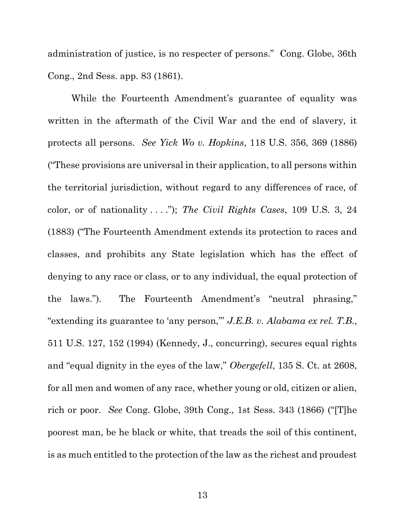administration of justice, is no respecter of persons." Cong. Globe, 36th Cong., 2nd Sess. app. 83 (1861).

While the Fourteenth Amendment's guarantee of equality was written in the aftermath of the Civil War and the end of slavery, it protects all persons. See Yick Wo v. Hopkins, 118 U.S. 356, 369 (1886) ("These provisions are universal in their application, to all persons within the territorial jurisdiction, without regard to any differences of race, of color, or of nationality  $\dots$ "); The Civil Rights Cases, 109 U.S. 3, 24 (1883) ("The Fourteenth Amendment extends its protection to races and classes, and prohibits any State legislation which has the effect of denying to any race or class, or to any individual, the equal protection of the laws."). The Fourteenth Amendment's "neutral phrasing," "extending its guarantee to 'any person," J.E.B. v. Alabama ex rel. T.B., 511 U.S. 127, 152 (1994) (Kennedy, J., concurring), secures equal rights and "equal dignity in the eyes of the law," Obergefell, 135 S. Ct. at 2608, for all men and women of any race, whether young or old, citizen or alien, rich or poor. See Cong. Globe, 39th Cong., 1st Sess. 343 (1866) ("[T]he poorest man, be he black or white, that treads the soil of this continent, is as much entitled to the protection of the law as the richest and proudest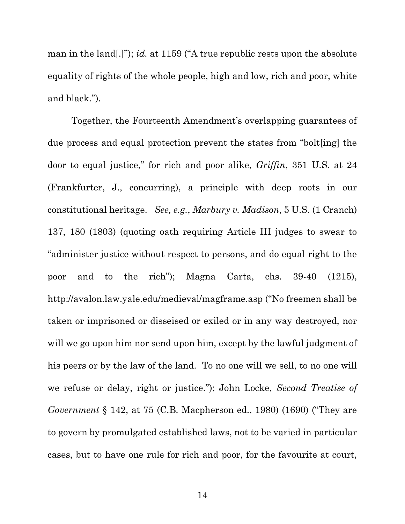man in the land.]"); *id.* at 1159 ("A true republic rests upon the absolute equality of rights of the whole people, high and low, rich and poor, white and black.").

Together, the Fourteenth Amendment's overlapping guarantees of due process and equal protection prevent the states from "bolt[ing] the door to equal justice," for rich and poor alike, Griffin, 351 U.S. at 24 (Frankfurter, J., concurring), a principle with deep roots in our constitutional heritage. See, e.g., Marbury v. Madison, 5 U.S. (1 Cranch) 137, 180 (1803) (quoting oath requiring Article III judges to swear to "administer justice without respect to persons, and do equal right to the poor and to the rich"); Magna Carta, chs. 39-40 (1215), http://avalon.law.yale.edu/medieval/magframe.asp ("No freemen shall be taken or imprisoned or disseised or exiled or in any way destroyed, nor will we go upon him nor send upon him, except by the lawful judgment of his peers or by the law of the land. To no one will we sell, to no one will we refuse or delay, right or justice."); John Locke, Second Treatise of Government § 142, at 75 (C.B. Macpherson ed., 1980) (1690) ("They are to govern by promulgated established laws, not to be varied in particular cases, but to have one rule for rich and poor, for the favourite at court,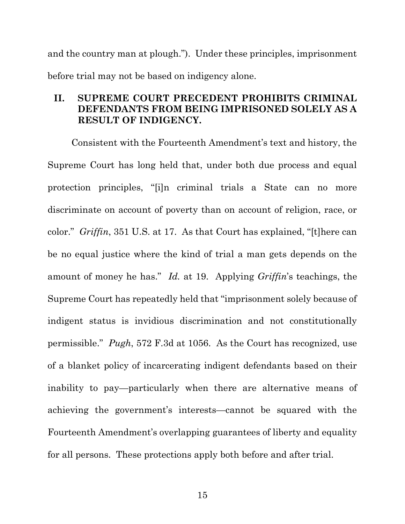and the country man at plough."). Under these principles, imprisonment before trial may not be based on indigency alone.

### II. SUPREME COURT PRECEDENT PROHIBITS CRIMINAL DEFENDANTS FROM BEING IMPRISONED SOLELY AS A RESULT OF INDIGENCY.

Consistent with the Fourteenth Amendment's text and history, the Supreme Court has long held that, under both due process and equal protection principles, "[i]n criminal trials a State can no more discriminate on account of poverty than on account of religion, race, or color." Griffin, 351 U.S. at 17. As that Court has explained, "[t]here can be no equal justice where the kind of trial a man gets depends on the amount of money he has." Id. at 19. Applying Griffin's teachings, the Supreme Court has repeatedly held that "imprisonment solely because of indigent status is invidious discrimination and not constitutionally permissible." Pugh, 572 F.3d at 1056. As the Court has recognized, use of a blanket policy of incarcerating indigent defendants based on their inability to pay—particularly when there are alternative means of achieving the government's interests—cannot be squared with the Fourteenth Amendment's overlapping guarantees of liberty and equality for all persons. These protections apply both before and after trial.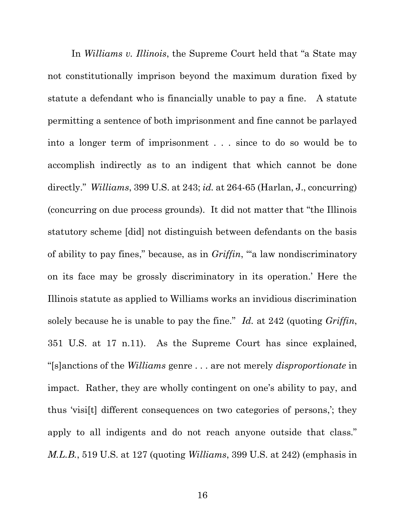In *Williams v. Illinois*, the Supreme Court held that "a State may not constitutionally imprison beyond the maximum duration fixed by statute a defendant who is financially unable to pay a fine. A statute permitting a sentence of both imprisonment and fine cannot be parlayed into a longer term of imprisonment . . . since to do so would be to accomplish indirectly as to an indigent that which cannot be done directly." Williams, 399 U.S. at 243; id. at 264-65 (Harlan, J., concurring) (concurring on due process grounds). It did not matter that "the Illinois statutory scheme [did] not distinguish between defendants on the basis of ability to pay fines," because, as in Griffin, "'a law nondiscriminatory on its face may be grossly discriminatory in its operation.' Here the Illinois statute as applied to Williams works an invidious discrimination solely because he is unable to pay the fine." Id. at 242 (quoting Griffin, 351 U.S. at 17 n.11). As the Supreme Court has since explained, "[s]anctions of the Williams genre . . . are not merely disproportionate in impact. Rather, they are wholly contingent on one's ability to pay, and thus 'visi[t] different consequences on two categories of persons,'; they apply to all indigents and do not reach anyone outside that class." M.L.B., 519 U.S. at 127 (quoting Williams, 399 U.S. at 242) (emphasis in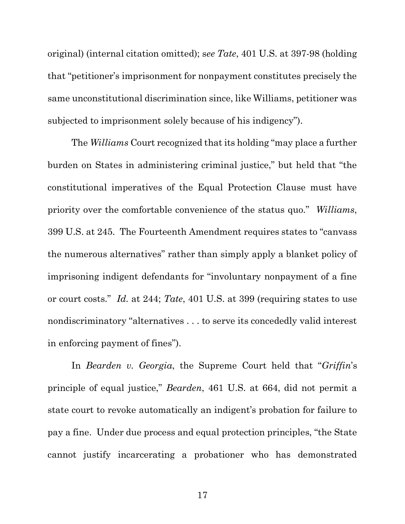original) (internal citation omitted); see Tate, 401 U.S. at 397-98 (holding that "petitioner's imprisonment for nonpayment constitutes precisely the same unconstitutional discrimination since, like Williams, petitioner was subjected to imprisonment solely because of his indigency").

The Williams Court recognized that its holding "may place a further burden on States in administering criminal justice," but held that "the constitutional imperatives of the Equal Protection Clause must have priority over the comfortable convenience of the status quo." Williams, 399 U.S. at 245. The Fourteenth Amendment requires states to "canvass the numerous alternatives" rather than simply apply a blanket policy of imprisoning indigent defendants for "involuntary nonpayment of a fine or court costs." Id. at 244; Tate, 401 U.S. at 399 (requiring states to use nondiscriminatory "alternatives . . . to serve its concededly valid interest in enforcing payment of fines").

In *Bearden v. Georgia*, the Supreme Court held that "*Griffin*'s principle of equal justice," Bearden, 461 U.S. at 664, did not permit a state court to revoke automatically an indigent's probation for failure to pay a fine. Under due process and equal protection principles, "the State cannot justify incarcerating a probationer who has demonstrated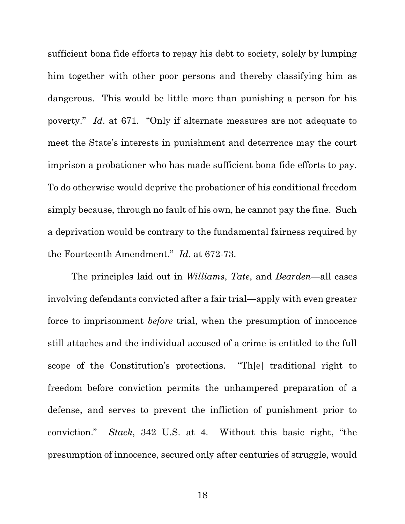sufficient bona fide efforts to repay his debt to society, solely by lumping him together with other poor persons and thereby classifying him as dangerous. This would be little more than punishing a person for his poverty." Id. at 671. "Only if alternate measures are not adequate to meet the State's interests in punishment and deterrence may the court imprison a probationer who has made sufficient bona fide efforts to pay. To do otherwise would deprive the probationer of his conditional freedom simply because, through no fault of his own, he cannot pay the fine. Such a deprivation would be contrary to the fundamental fairness required by the Fourteenth Amendment." Id. at 672-73.

The principles laid out in Williams, Tate, and Bearden—all cases involving defendants convicted after a fair trial—apply with even greater force to imprisonment *before* trial, when the presumption of innocence still attaches and the individual accused of a crime is entitled to the full scope of the Constitution's protections. "Th[e] traditional right to freedom before conviction permits the unhampered preparation of a defense, and serves to prevent the infliction of punishment prior to conviction." Stack, 342 U.S. at 4. Without this basic right, "the presumption of innocence, secured only after centuries of struggle, would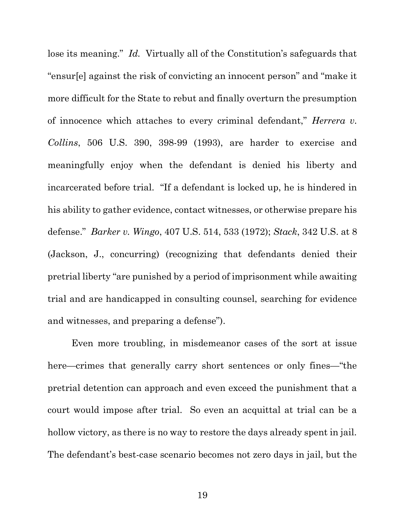lose its meaning." Id. Virtually all of the Constitution's safeguards that "ensur[e] against the risk of convicting an innocent person" and "make it more difficult for the State to rebut and finally overturn the presumption of innocence which attaches to every criminal defendant," Herrera v. Collins, 506 U.S. 390, 398-99 (1993), are harder to exercise and meaningfully enjoy when the defendant is denied his liberty and incarcerated before trial. "If a defendant is locked up, he is hindered in his ability to gather evidence, contact witnesses, or otherwise prepare his defense." Barker v. Wingo, 407 U.S. 514, 533 (1972); Stack, 342 U.S. at 8 (Jackson, J., concurring) (recognizing that defendants denied their pretrial liberty "are punished by a period of imprisonment while awaiting trial and are handicapped in consulting counsel, searching for evidence and witnesses, and preparing a defense").

Even more troubling, in misdemeanor cases of the sort at issue here—crimes that generally carry short sentences or only fines—"the pretrial detention can approach and even exceed the punishment that a court would impose after trial. So even an acquittal at trial can be a hollow victory, as there is no way to restore the days already spent in jail. The defendant's best-case scenario becomes not zero days in jail, but the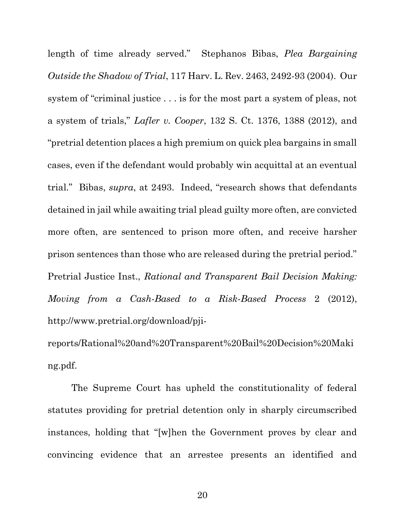length of time already served." Stephanos Bibas, Plea Bargaining Outside the Shadow of Trial, 117 Harv. L. Rev. 2463, 2492-93 (2004). Our system of "criminal justice . . . is for the most part a system of pleas, not a system of trials," Lafler v. Cooper, 132 S. Ct. 1376, 1388 (2012), and "pretrial detention places a high premium on quick plea bargains in small cases, even if the defendant would probably win acquittal at an eventual trial." Bibas, supra, at 2493. Indeed, "research shows that defendants detained in jail while awaiting trial plead guilty more often, are convicted more often, are sentenced to prison more often, and receive harsher prison sentences than those who are released during the pretrial period." Pretrial Justice Inst., Rational and Transparent Bail Decision Making: Moving from a Cash-Based to a Risk-Based Process 2 (2012), http://www.pretrial.org/download/pji-

reports/Rational%20and%20Transparent%20Bail%20Decision%20Maki ng.pdf.

The Supreme Court has upheld the constitutionality of federal statutes providing for pretrial detention only in sharply circumscribed instances, holding that "[w]hen the Government proves by clear and convincing evidence that an arrestee presents an identified and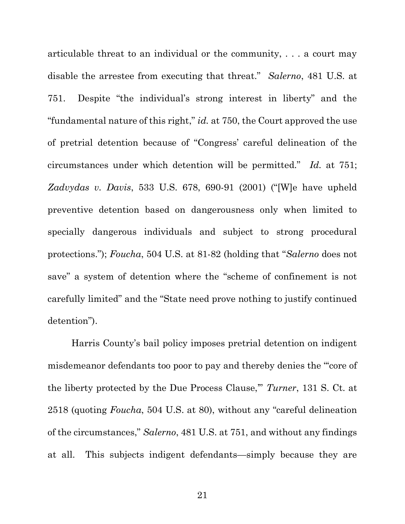articulable threat to an individual or the community, . . . a court may disable the arrestee from executing that threat." Salerno, 481 U.S. at 751. Despite "the individual's strong interest in liberty" and the "fundamental nature of this right,"  $id.$  at 750, the Court approved the use of pretrial detention because of "Congress' careful delineation of the circumstances under which detention will be permitted." Id. at 751; Zadvydas v. Davis, 533 U.S. 678, 690-91 (2001) ("[W]e have upheld preventive detention based on dangerousness only when limited to specially dangerous individuals and subject to strong procedural protections."); Foucha, 504 U.S. at 81-82 (holding that "Salerno does not save" a system of detention where the "scheme of confinement is not carefully limited" and the "State need prove nothing to justify continued detention").

Harris County's bail policy imposes pretrial detention on indigent misdemeanor defendants too poor to pay and thereby denies the "'core of the liberty protected by the Due Process Clause,'" Turner, 131 S. Ct. at 2518 (quoting Foucha, 504 U.S. at 80), without any "careful delineation of the circumstances," Salerno, 481 U.S. at 751, and without any findings at all. This subjects indigent defendants—simply because they are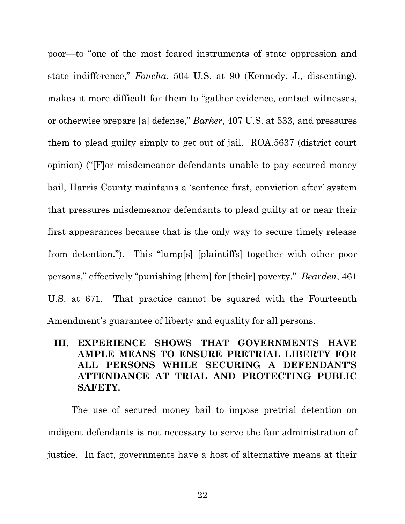poor—to "one of the most feared instruments of state oppression and state indifference," Foucha, 504 U.S. at 90 (Kennedy, J., dissenting), makes it more difficult for them to "gather evidence, contact witnesses, or otherwise prepare [a] defense," Barker, 407 U.S. at 533, and pressures them to plead guilty simply to get out of jail. ROA.5637 (district court opinion) ("[F]or misdemeanor defendants unable to pay secured money bail, Harris County maintains a 'sentence first, conviction after' system that pressures misdemeanor defendants to plead guilty at or near their first appearances because that is the only way to secure timely release from detention."). This "lump[s] [plaintiffs] together with other poor persons," effectively "punishing [them] for [their] poverty." Bearden, 461 U.S. at 671. That practice cannot be squared with the Fourteenth Amendment's guarantee of liberty and equality for all persons.

### III. EXPERIENCE SHOWS THAT GOVERNMENTS HAVE AMPLE MEANS TO ENSURE PRETRIAL LIBERTY FOR ALL PERSONS WHILE SECURING A DEFENDANT'S ATTENDANCE AT TRIAL AND PROTECTING PUBLIC SAFETY.

The use of secured money bail to impose pretrial detention on indigent defendants is not necessary to serve the fair administration of justice. In fact, governments have a host of alternative means at their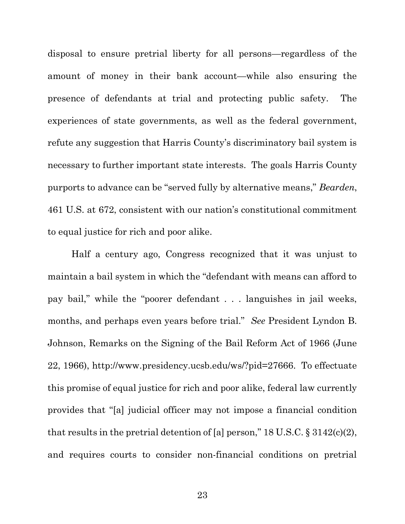disposal to ensure pretrial liberty for all persons—regardless of the amount of money in their bank account—while also ensuring the presence of defendants at trial and protecting public safety. The experiences of state governments, as well as the federal government, refute any suggestion that Harris County's discriminatory bail system is necessary to further important state interests. The goals Harris County purports to advance can be "served fully by alternative means," Bearden, 461 U.S. at 672, consistent with our nation's constitutional commitment to equal justice for rich and poor alike.

Half a century ago, Congress recognized that it was unjust to maintain a bail system in which the "defendant with means can afford to pay bail," while the "poorer defendant . . . languishes in jail weeks, months, and perhaps even years before trial." See President Lyndon B. Johnson, Remarks on the Signing of the Bail Reform Act of 1966 (June 22, 1966), http://www.presidency.ucsb.edu/ws/?pid=27666. To effectuate this promise of equal justice for rich and poor alike, federal law currently provides that "[a] judicial officer may not impose a financial condition that results in the pretrial detention of [a] person,"  $18 \text{ U.S.C.}$  §  $3142 \text{ (c)} \text{ (2)}$ , and requires courts to consider non-financial conditions on pretrial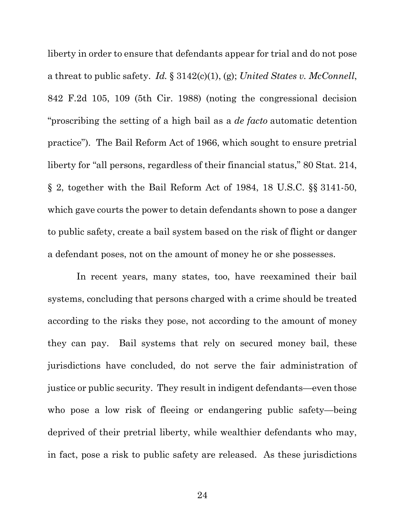liberty in order to ensure that defendants appear for trial and do not pose a threat to public safety. Id.  $\S 3142(c)(1)$ , (g); United States v. McConnell, 842 F.2d 105, 109 (5th Cir. 1988) (noting the congressional decision "proscribing the setting of a high bail as a *de facto* automatic detention practice"). The Bail Reform Act of 1966, which sought to ensure pretrial liberty for "all persons, regardless of their financial status," 80 Stat. 214, § 2, together with the Bail Reform Act of 1984, 18 U.S.C. §§ 3141-50, which gave courts the power to detain defendants shown to pose a danger to public safety, create a bail system based on the risk of flight or danger a defendant poses, not on the amount of money he or she possesses.

 In recent years, many states, too, have reexamined their bail systems, concluding that persons charged with a crime should be treated according to the risks they pose, not according to the amount of money they can pay. Bail systems that rely on secured money bail, these jurisdictions have concluded, do not serve the fair administration of justice or public security. They result in indigent defendants—even those who pose a low risk of fleeing or endangering public safety—being deprived of their pretrial liberty, while wealthier defendants who may, in fact, pose a risk to public safety are released. As these jurisdictions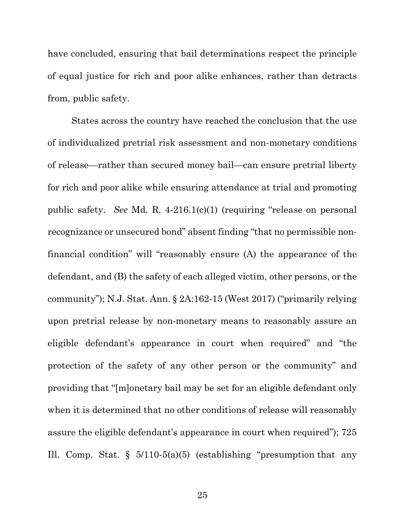have concluded, ensuring that bail determinations respect the principle of equal justice for rich and poor alike enhances, rather than detracts from, public safety.

States across the country have reached the conclusion that the use of individualized pretrial risk assessment and non-monetary conditions of release—rather than secured money bail—can ensure pretrial liberty for rich and poor alike while ensuring attendance at trial and promoting public safety. See Md. R. 4-216.1(c)(1) (requiring "release on personal recognizance or unsecured bond" absent finding "that no permissible nonfinancial condition" will "reasonably ensure (A) the appearance of the defendant, and (B) the safety of each alleged victim, other persons, or the community"); N.J. Stat. Ann. § 2A:162-15 (West 2017) ("primarily relying upon pretrial release by non-monetary means to reasonably assure an eligible defendant's appearance in court when required" and "the protection of the safety of any other person or the community" and providing that "[m]onetary bail may be set for an eligible defendant only when it is determined that no other conditions of release will reasonably assure the eligible defendant's appearance in court when required"); 725 Ill. Comp. Stat.  $\S$  5/110-5(a)(5) (establishing "presumption that any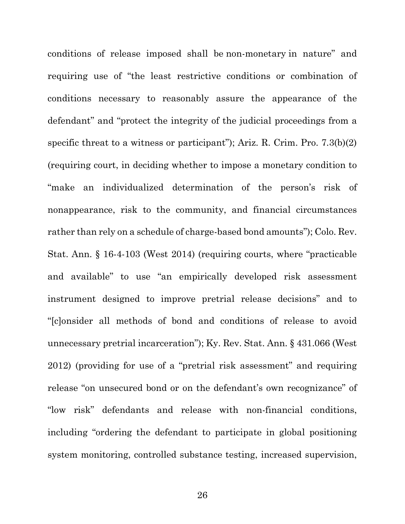conditions of release imposed shall be non-monetary in nature" and requiring use of "the least restrictive conditions or combination of conditions necessary to reasonably assure the appearance of the defendant" and "protect the integrity of the judicial proceedings from a specific threat to a witness or participant"); Ariz. R. Crim. Pro. 7.3(b)(2) (requiring court, in deciding whether to impose a monetary condition to "make an individualized determination of the person's risk of nonappearance, risk to the community, and financial circumstances rather than rely on a schedule of charge-based bond amounts"); Colo. Rev. Stat. Ann. § 16-4-103 (West 2014) (requiring courts, where "practicable and available" to use "an empirically developed risk assessment instrument designed to improve pretrial release decisions" and to "[c]onsider all methods of bond and conditions of release to avoid unnecessary pretrial incarceration"); Ky. Rev. Stat. Ann. § 431.066 (West 2012) (providing for use of a "pretrial risk assessment" and requiring release "on unsecured bond or on the defendant's own recognizance" of "low risk" defendants and release with non-financial conditions, including "ordering the defendant to participate in global positioning system monitoring, controlled substance testing, increased supervision,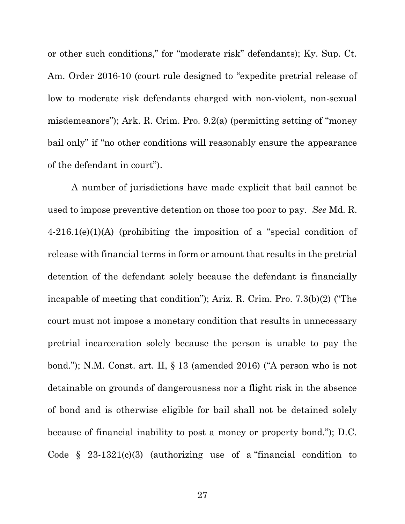or other such conditions," for "moderate risk" defendants); Ky. Sup. Ct. Am. Order 2016-10 (court rule designed to "expedite pretrial release of low to moderate risk defendants charged with non-violent, non-sexual misdemeanors"); Ark. R. Crim. Pro. 9.2(a) (permitting setting of "money bail only" if "no other conditions will reasonably ensure the appearance of the defendant in court").

A number of jurisdictions have made explicit that bail cannot be used to impose preventive detention on those too poor to pay. See Md. R. 4-216.1(e)(1)(A) (prohibiting the imposition of a "special condition of release with financial terms in form or amount that results in the pretrial detention of the defendant solely because the defendant is financially incapable of meeting that condition"); Ariz. R. Crim. Pro. 7.3(b)(2) ("The court must not impose a monetary condition that results in unnecessary pretrial incarceration solely because the person is unable to pay the bond."); N.M. Const. art. II, § 13 (amended 2016) ("A person who is not detainable on grounds of dangerousness nor a flight risk in the absence of bond and is otherwise eligible for bail shall not be detained solely because of financial inability to post a money or property bond."); D.C. Code  $\S$  23-1321(c)(3) (authorizing use of a "financial condition to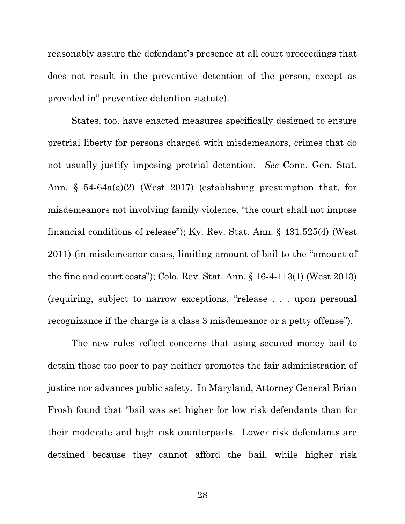reasonably assure the defendant's presence at all court proceedings that does not result in the preventive detention of the person, except as provided in" preventive detention statute).

States, too, have enacted measures specifically designed to ensure pretrial liberty for persons charged with misdemeanors, crimes that do not usually justify imposing pretrial detention. See Conn. Gen. Stat. Ann. § 54-64a(a)(2) (West 2017) (establishing presumption that, for misdemeanors not involving family violence, "the court shall not impose financial conditions of release"); Ky. Rev. Stat. Ann. § 431.525(4) (West 2011) (in misdemeanor cases, limiting amount of bail to the "amount of the fine and court costs"); Colo. Rev. Stat. Ann. § 16-4-113(1) (West 2013) (requiring, subject to narrow exceptions, "release . . . upon personal recognizance if the charge is a class 3 misdemeanor or a petty offense").

The new rules reflect concerns that using secured money bail to detain those too poor to pay neither promotes the fair administration of justice nor advances public safety. In Maryland, Attorney General Brian Frosh found that "bail was set higher for low risk defendants than for their moderate and high risk counterparts. Lower risk defendants are detained because they cannot afford the bail, while higher risk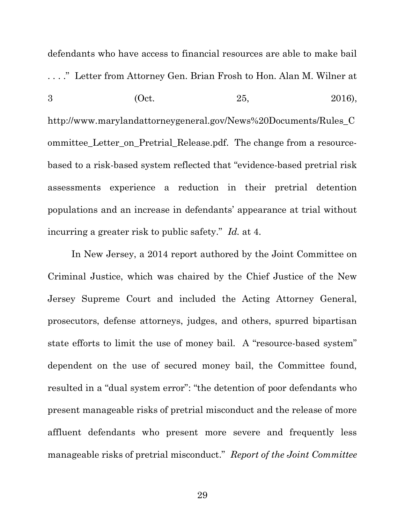defendants who have access to financial resources are able to make bail . . . ." Letter from Attorney Gen. Brian Frosh to Hon. Alan M. Wilner at 3 (Oct.  $25,$  2016), http://www.marylandattorneygeneral.gov/News%20Documents/Rules\_C ommittee\_Letter\_on\_Pretrial\_Release.pdf. The change from a resourcebased to a risk-based system reflected that "evidence-based pretrial risk assessments experience a reduction in their pretrial detention populations and an increase in defendants' appearance at trial without incurring a greater risk to public safety." Id. at 4.

In New Jersey, a 2014 report authored by the Joint Committee on Criminal Justice, which was chaired by the Chief Justice of the New Jersey Supreme Court and included the Acting Attorney General, prosecutors, defense attorneys, judges, and others, spurred bipartisan state efforts to limit the use of money bail. A "resource-based system" dependent on the use of secured money bail, the Committee found, resulted in a "dual system error": "the detention of poor defendants who present manageable risks of pretrial misconduct and the release of more affluent defendants who present more severe and frequently less manageable risks of pretrial misconduct." Report of the Joint Committee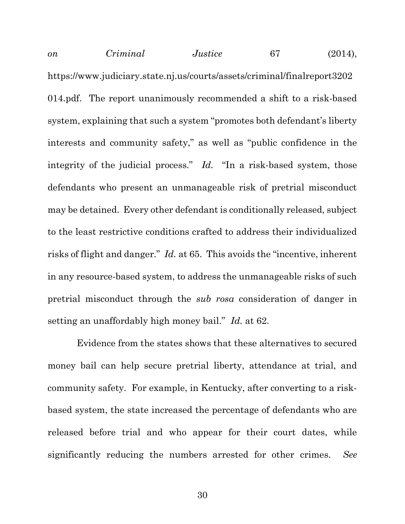on Criminal Justice 67 (2014), https://www.judiciary.state.nj.us/courts/assets/criminal/finalreport3202 014.pdf. The report unanimously recommended a shift to a risk-based system, explaining that such a system "promotes both defendant's liberty interests and community safety," as well as "public confidence in the integrity of the judicial process." Id. "In a risk-based system, those defendants who present an unmanageable risk of pretrial misconduct may be detained. Every other defendant is conditionally released, subject to the least restrictive conditions crafted to address their individualized risks of flight and danger." Id. at 65. This avoids the "incentive, inherent in any resource-based system, to address the unmanageable risks of such pretrial misconduct through the sub rosa consideration of danger in setting an unaffordably high money bail." Id. at 62.

 Evidence from the states shows that these alternatives to secured money bail can help secure pretrial liberty, attendance at trial, and community safety. For example, in Kentucky, after converting to a riskbased system, the state increased the percentage of defendants who are released before trial and who appear for their court dates, while significantly reducing the numbers arrested for other crimes. See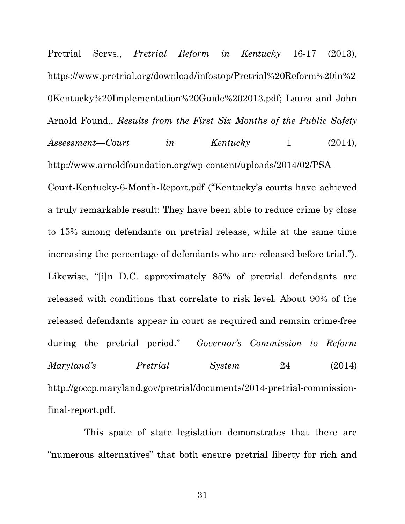Pretrial Servs., *Pretrial Reform in Kentucky* 16-17 (2013), https://www.pretrial.org/download/infostop/Pretrial%20Reform%20in%2 0Kentucky%20Implementation%20Guide%202013.pdf; Laura and John Arnold Found., Results from the First Six Months of the Public Safety Assessment—Court in Kentucky 1 (2014), http://www.arnoldfoundation.org/wp-content/uploads/2014/02/PSA-

Court-Kentucky-6-Month-Report.pdf ("Kentucky's courts have achieved a truly remarkable result: They have been able to reduce crime by close to 15% among defendants on pretrial release, while at the same time increasing the percentage of defendants who are released before trial."). Likewise, "[i]n D.C. approximately 85% of pretrial defendants are released with conditions that correlate to risk level. About 90% of the released defendants appear in court as required and remain crime-free during the pretrial period." Governor's Commission to Reform Maryland's Pretrial System 24 (2014) http://goccp.maryland.gov/pretrial/documents/2014-pretrial-commissionfinal-report.pdf.

 This spate of state legislation demonstrates that there are "numerous alternatives" that both ensure pretrial liberty for rich and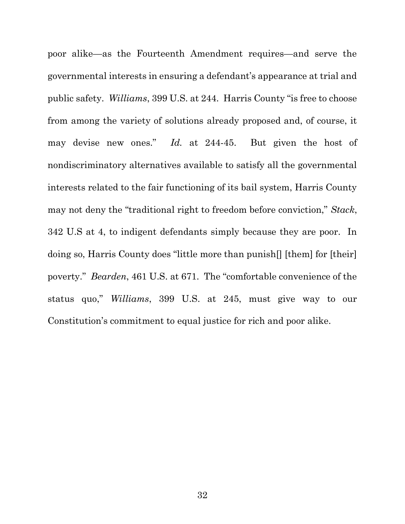poor alike—as the Fourteenth Amendment requires—and serve the governmental interests in ensuring a defendant's appearance at trial and public safety. Williams, 399 U.S. at 244. Harris County "is free to choose from among the variety of solutions already proposed and, of course, it may devise new ones." Id. at 244-45. But given the host of nondiscriminatory alternatives available to satisfy all the governmental interests related to the fair functioning of its bail system, Harris County may not deny the "traditional right to freedom before conviction," Stack, 342 U.S at 4, to indigent defendants simply because they are poor. In doing so, Harris County does "little more than punish[] [them] for [their] poverty." Bearden, 461 U.S. at 671. The "comfortable convenience of the status quo," Williams, 399 U.S. at 245, must give way to our Constitution's commitment to equal justice for rich and poor alike.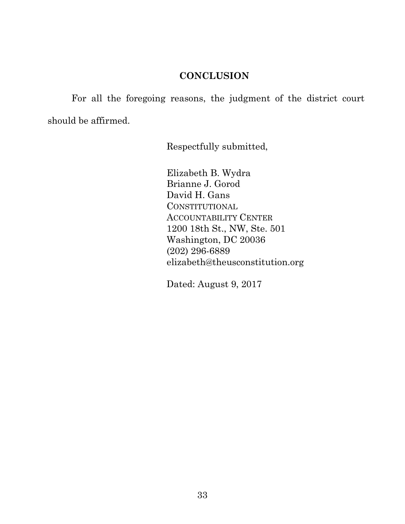### **CONCLUSION**

For all the foregoing reasons, the judgment of the district court should be affirmed.

Respectfully submitted,

Elizabeth B. Wydra Brianne J. Gorod David H. Gans **CONSTITUTIONAL** ACCOUNTABILITY CENTER 1200 18th St., NW, Ste. 501 Washington, DC 20036 (202) 296-6889 elizabeth@theusconstitution.org

Dated: August 9, 2017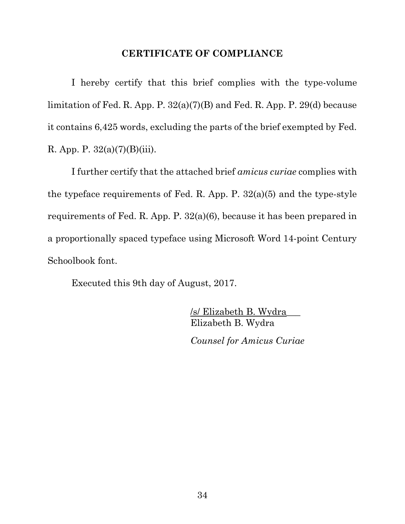#### CERTIFICATE OF COMPLIANCE

 I hereby certify that this brief complies with the type-volume limitation of Fed. R. App. P. 32(a)(7)(B) and Fed. R. App. P. 29(d) because it contains 6,425 words, excluding the parts of the brief exempted by Fed. R. App. P.  $32(a)(7)(B)(iii)$ .

 I further certify that the attached brief amicus curiae complies with the typeface requirements of Fed. R. App. P. 32(a)(5) and the type-style requirements of Fed. R. App. P. 32(a)(6), because it has been prepared in a proportionally spaced typeface using Microsoft Word 14-point Century Schoolbook font.

Executed this 9th day of August, 2017.

 /s/ Elizabeth B. Wydra\_\_\_ Elizabeth B. Wydra Counsel for Amicus Curiae